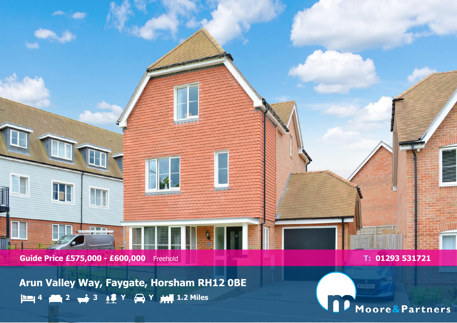**Guide Price £575,000 - £600,000** Freehold **T: 01293 531721** 

in na

 $\prod_{i=1}^n$ 

Moore&Partners

**Wizouru** 

**Arun Valley Way, Faygate, Horsham RH12 0BE 4 2 3 Y Y 1.2 Miles**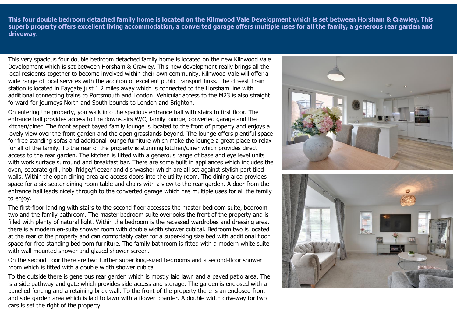**This four double bedroom detached family home is located on the Kilnwood Vale Development which is set between Horsham & Crawley. This superb property offers excellent living accommodation, a converted garage offers multiple uses for all the family, a generous rear garden and driveway**.

This very spacious four double bedroom detached family home is located on the new Kilnwood Vale Development which is set between Horsham & Crawley. This new development really brings all the local residents together to become involved within their own community. Kilnwood Vale will offer a wide range of local services with the addition of excellent public transport links. The closest Train station is located in Faygate just 1.2 miles away which is connected to the Horsham line with additional connecting trains to Portsmouth and London. Vehicular access to the M23 is also straight forward for journeys North and South bounds to London and Brighton.

On entering the property, you walk into the spacious entrance hall with stairs to first floor. The entrance hall provides access to the downstairs W/C, family lounge, converted garage and the kitchen/diner. The front aspect bayed family lounge is located to the front of property and enjoys a lovely view over the front garden and the open grasslands beyond. The lounge offers plentiful space for free standing sofas and additional lounge furniture which make the lounge a great place to relax for all of the family. To the rear of the property is stunning kitchen/diner which provides direct access to the rear garden. The kitchen is fitted with a generous range of base and eye level units with work surface surround and breakfast bar. There are some built in appliances which includes the oven, separate grill, hob, fridge/freezer and dishwasher which are all set against stylish part tiled walls. Within the open dining area are access doors into the utility room. The dining area provides space for a six-seater dining room table and chairs with a view to the rear garden. A door from the entrance hall leads nicely through to the converted garage which has multiple uses for all the family to enjoy.

The first-floor landing with stairs to the second floor accesses the master bedroom suite, bedroom two and the family bathroom. The master bedroom suite overlooks the front of the property and is filled with plenty of natural light. Within the bedroom is the recessed wardrobes and dressing area. there is a modern en-suite shower room with double width shower cubical. Bedroom two is located at the rear of the property and can comfortably cater for a super-king size bed with additional floor space for free standing bedroom furniture. The family bathroom is fitted with a modern white suite with wall mounted shower and glazed shower screen.

On the second floor there are two further super king-sized bedrooms and a second-floor shower room which is fitted with a double width shower cubical.

To the outside there is generous rear garden which is mostly laid lawn and a paved patio area. The is a side pathway and gate which provides side access and storage. The garden is enclosed with a panelled fencing and a retaining brick wall. To the front of the property there is an enclosed front and side garden area which is laid to lawn with a flower boarder. A double width driveway for two cars is set the right of the property.



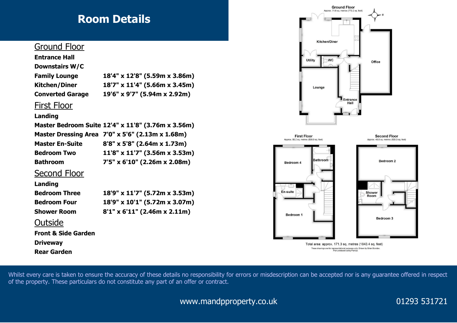# **Room Details**

# Ground Floor

**Entrance Hall**

**Downstairs W/C**

**Family Lounge 18'4" x 12'8" (5.59m x 3.86m) Kitchen/Diner 18'7" x 11'4" (5.66m x 3.45m) Converted Garage 19'6" x 9'7" (5.94m x 2.92m)**

### First Floor

#### **Landing**

**Master Bedroom Suite 12'4" x 11'8" (3.76m x 3.56m) Master Dressing Area 7'0" x 5'6" (2.13m x 1.68m) Master En-Suite 8'8" x 5'8" (2.64m x 1.73m) Bedroom Two 11'8" x 11'7" (3.56m x 3.53m) Bathroom 7'5" x 6'10" (2.26m x 2.08m)**

## Second Floor

#### **Landing**

**Bedroom Three 18'9" x 11'7" (5.72m x 3.53m) Bedroom Four 18'9" x 10'1" (5.72m x 3.07m) Shower Room 8'1" x 6'11" (2.46m x 2.11m)**

# **Outside**

**Front & Side Garden Driveway Rear Garden**



Total area: approx. 171.3 sq. metres (1843.4 sq. feet) These drawings are for representational purposes only. Drawn by Brian Blunden.<br>Plan produced using PlanUp.

Whilst every care is taken to ensure the accuracy of these details no responsibility for errors or misdescription can be accepted nor is any guarantee offered in respect of the property. These particulars do not constitute any part of an offer or contract.